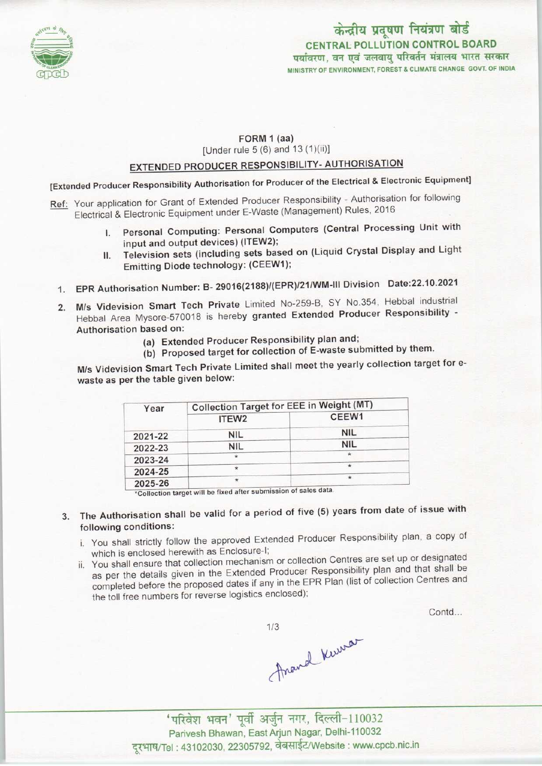

## केन्द्रीय प्रदूषण नियंत्रण बोर्ड CENTRAL POLLUTION CONTROL BOARD<br>पर्यावरण, वन एवं जलवायु परिवर्तन मंत्रालय भारत सरकार MINISTRY OF ENVIRONMENT, FOREST 8. CLIMATE CHANGE GOVT. OF INDIA

### FORM 1 (aa)

[Under rule 5 (6) and 13 (1)(ii)]

### EXTENDED PRODUCER RESPONSIBILITY- AUTHORISATION

[Extended Producer Responsibility Authorisation for Producer of the Electrical & Electronic Equipment]

- Ref: Your application for Grant of Extended Producer Responsibility Authorisation for following Electrical & Electronic Equipment under E-Waste (Management) Rules, 2016
	- Personal Computing: Personal Computers (Central Processing Unit with input and output devices) (ITEW2);
	- II. Television sets (including sets based on (Liquid Crystal Display and Light Emitting Diode technology: (CEEW1);
	- 1.EPR Authorisation Number: B- 29016(2188)/(EPR)/21/WM-lll Division Date:22.10.2021
	- 2.M/s Videvision Smart Tech Private Limited No-259-B, SY No.354, Hebbal industrial Hebbal Area Mysore-570018 is hereby granted Extended Producer Responsibility - Authorisation based on:
		- (a)Extended Producer Responsibility plan and;
		- (b) Proposed target for collection of E-waste submitted by them.

M/s Videvision Smart Tech Private Limited shall meet the yearly collection target for ewaste as per the table given below:

| Year    | <b>Collection Target for EEE in Weight (MT)</b> |            |
|---------|-------------------------------------------------|------------|
|         | ITEW2                                           | CEEW1      |
| 2021-22 | <b>NIL</b>                                      | <b>NIL</b> |
| 2022-23 | <b>NIL</b>                                      | <b>NIL</b> |
| 2023-24 | $\star$                                         |            |
| 2024-25 | ÷                                               |            |
| 2025-26 | *                                               | $\star$    |

\*Collection target will be fixed after submission of sales data

3. The Authorisation shall be valid for a period of five (5) years from date of issue with following conditions:

- i. You shall strictly follow the approved Extended Producer Responsibility plan, a copy of which is enclosed herewith as Enclosure-I;
- ii. You shall ensure that collection mechanism or collection Centres are set up or designated as per the details given in the Extended Producer Responsibility plan and that shall be completed before the proposed dates if any in the EPR Plan (list of collection Centres and the toll free numbers for reverse logistics enclosed);

Contd...

 $1/3$ 

Ananal Kerrar

'परिवेश भवन' पूर्वी अर्जुन नगर, दिल्ली-110032 Parivesh Bhawan, East Arjun Nagar, Delhi-110032 दूरभाष/Tel: 43102030, 22305792, वेबसाईट/Website : www.cpcb.nic.in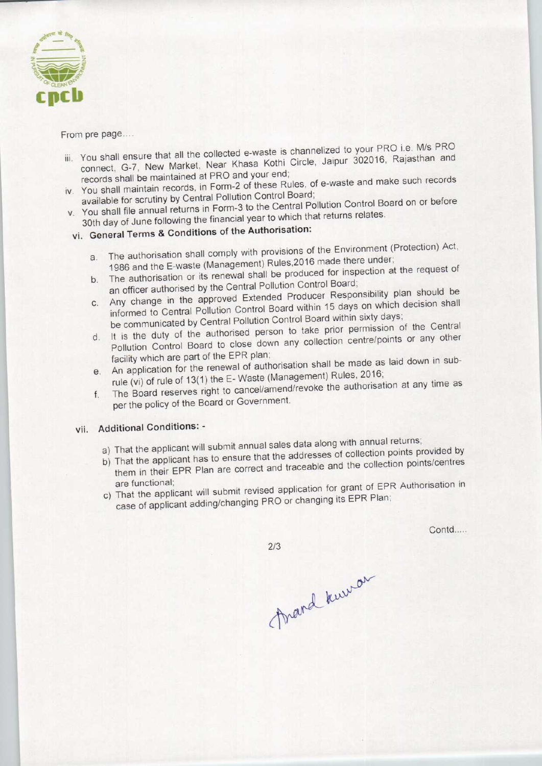

#### From pre page....

- iii. You shall ensure that all the collected e-waste is channelized to your PRO i.e. M/s PRO connect, G-7, New Market, Near Khasa Kothi Circle, Jaipur 302016, Rajasthan and records shall be maintained at PRO and your end;
- iv. You shall maintain records, in Form-2 of these Rules, of e-waste and make such records available for scrutiny by Central Pollution Control Board;
- v. You shall file annual returns in Form-3 to the Central Pollution Control Board on or before 30th day of June following the financial year to which that returns relates.

# vi. General Terms & Conditions of the Authorisation:

- a.The authorisation shall comply with provisions of the Environment (Protection) Act, a. The authorisation shall comply with provisions of the Environments<br>1986 and the E-waste (Management) Rules, 2016 made there under;<br>The authorisation or its renewal shall be produced for inspection at the request of
- b. The authorisation or its renewal shall be produced for inspection at the request of an officer authorised by the Central Pollution Control Board;
- c.Any change in the approved Extended Producer Responsibility plan should be informed to Central Pollution Control Board within 15 days on which decision shall be communicated by Central Pollution Control Board within sixty days;
- d. It is the duty of the authorised person to take prior permission of the Central Pollution Control Board to close down any collection centre/points or any other facility which are part of the EPR plan;
- e.An application for the renewal of authorisation shall be made as laid down in subrule (vi) of rule of 13(1) the E- Waste (Management) Rules, 2016;
- f. The Board reserves right to cancel/amend/revoke the authorisation at any time as per the policy of the Board or Government.

### vii. Additional Conditions: -

- a) That the applicant will submit annual sales data along with annual returns;
- b) That the applicant has to ensure that the addresses of collection points provided by them in their EPR Plan are correct and traceable and the collection points/centres
- are functional;<br>That is the application for grant of EPR Authorisation in case of applicant adding/changing PRO or changing its EPR Plan;

Contd.....

 $2/3$ 

frand knewar